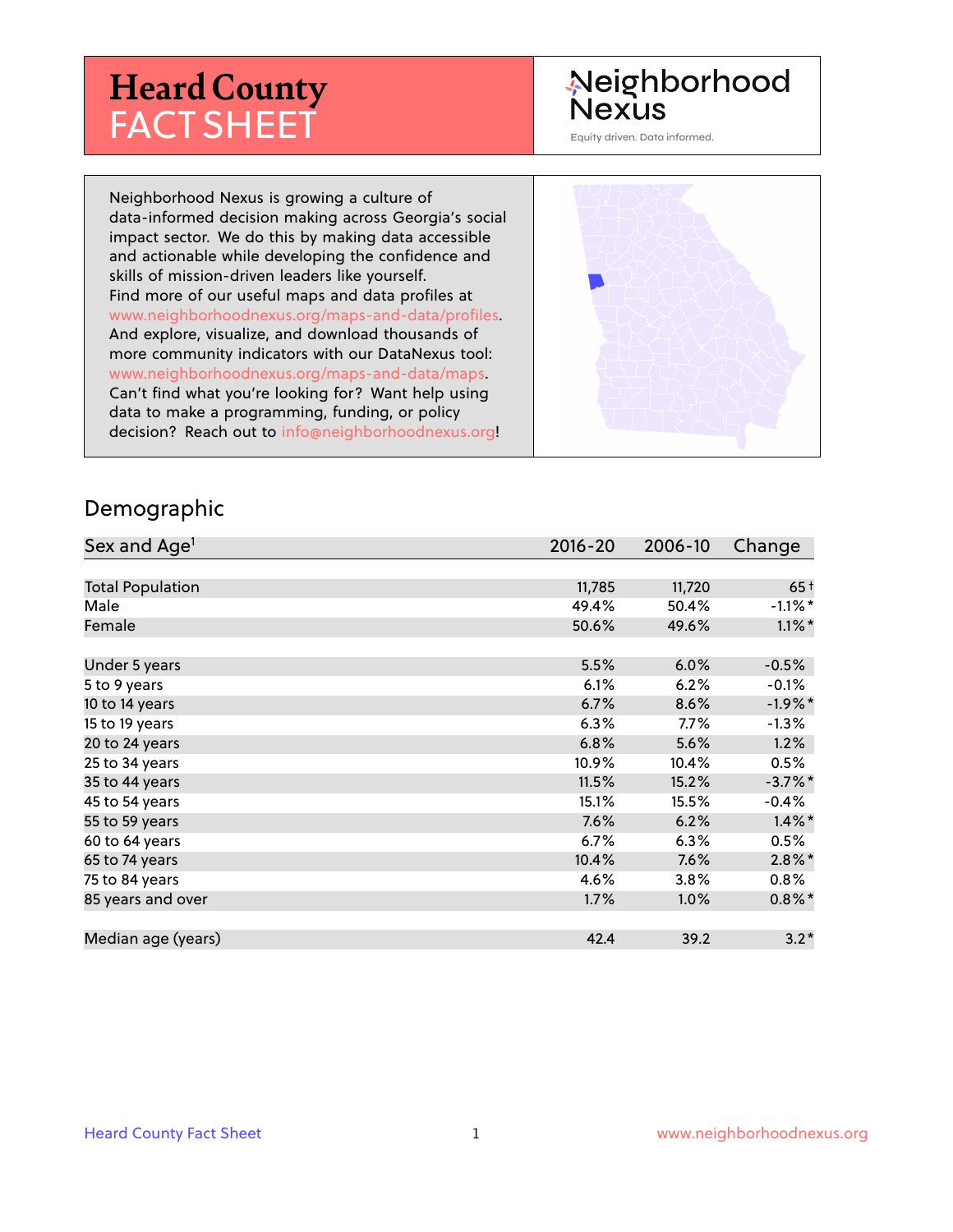# **Heard County** FACT SHEET

## Neighborhood Nexus

Equity driven. Data informed.

Neighborhood Nexus is growing a culture of data-informed decision making across Georgia's social impact sector. We do this by making data accessible and actionable while developing the confidence and skills of mission-driven leaders like yourself. Find more of our useful maps and data profiles at www.neighborhoodnexus.org/maps-and-data/profiles. And explore, visualize, and download thousands of more community indicators with our DataNexus tool: www.neighborhoodnexus.org/maps-and-data/maps. Can't find what you're looking for? Want help using data to make a programming, funding, or policy decision? Reach out to [info@neighborhoodnexus.org!](mailto:info@neighborhoodnexus.org)



#### Demographic

| Sex and Age <sup>1</sup> | $2016 - 20$ | 2006-10 | Change     |
|--------------------------|-------------|---------|------------|
|                          |             |         |            |
| <b>Total Population</b>  | 11,785      | 11,720  | $65+$      |
| Male                     | 49.4%       | 50.4%   | $-1.1\%$ * |
| Female                   | 50.6%       | 49.6%   | $1.1\%$ *  |
|                          |             |         |            |
| Under 5 years            | 5.5%        | 6.0%    | $-0.5%$    |
| 5 to 9 years             | 6.1%        | 6.2%    | $-0.1\%$   |
| 10 to 14 years           | 6.7%        | 8.6%    | $-1.9%$ *  |
| 15 to 19 years           | 6.3%        | 7.7%    | $-1.3%$    |
| 20 to 24 years           | 6.8%        | 5.6%    | 1.2%       |
| 25 to 34 years           | 10.9%       | 10.4%   | 0.5%       |
| 35 to 44 years           | 11.5%       | 15.2%   | $-3.7%$ *  |
| 45 to 54 years           | 15.1%       | 15.5%   | $-0.4%$    |
| 55 to 59 years           | 7.6%        | 6.2%    | $1.4\%$ *  |
| 60 to 64 years           | $6.7\%$     | 6.3%    | 0.5%       |
| 65 to 74 years           | 10.4%       | 7.6%    | $2.8\%$ *  |
| 75 to 84 years           | 4.6%        | 3.8%    | $0.8\%$    |
| 85 years and over        | 1.7%        | 1.0%    | $0.8\%$ *  |
|                          |             |         |            |
| Median age (years)       | 42.4        | 39.2    | $3.2*$     |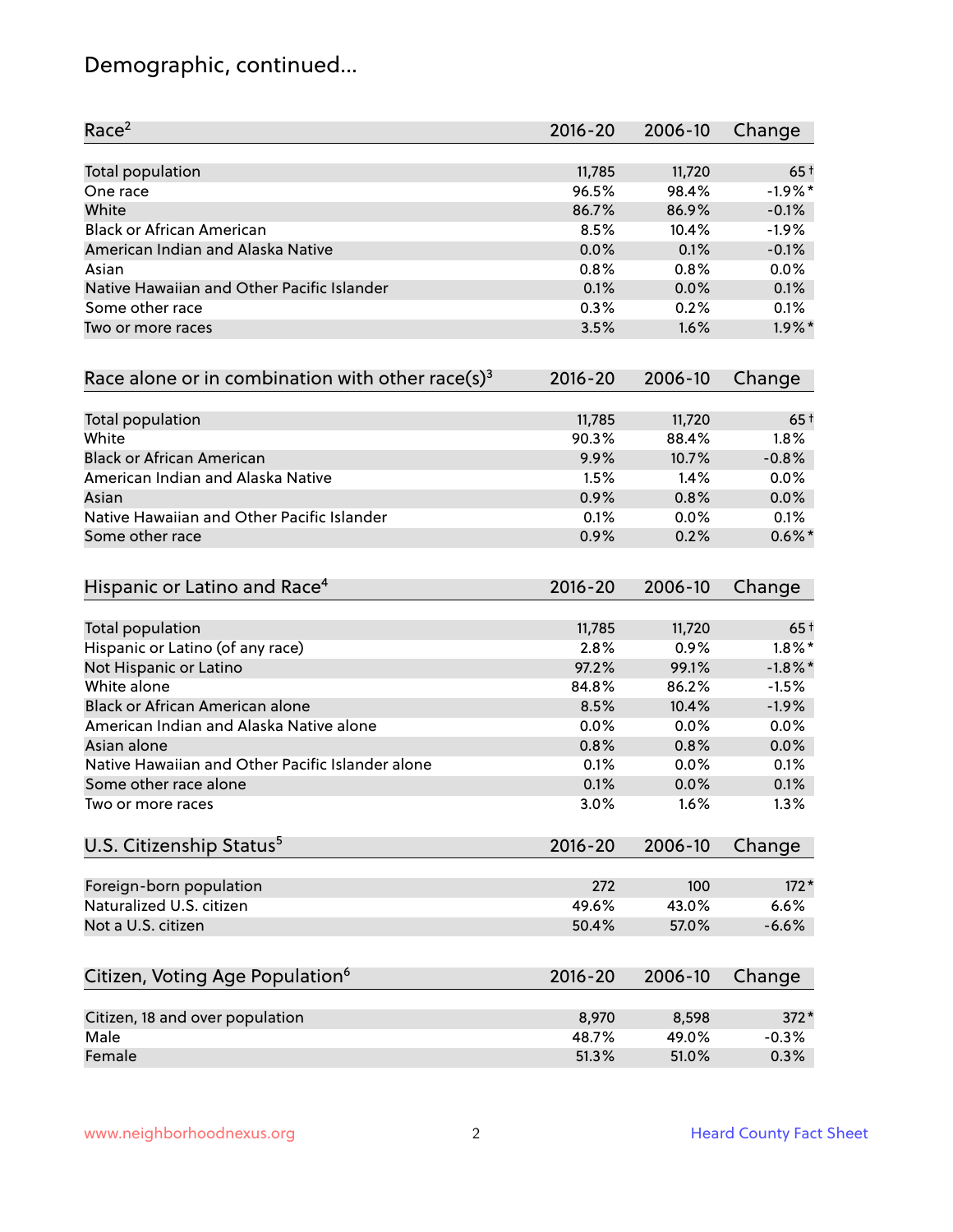## Demographic, continued...

| Race <sup>2</sup>                                             | $2016 - 20$  | 2006-10      | Change            |
|---------------------------------------------------------------|--------------|--------------|-------------------|
| <b>Total population</b>                                       | 11,785       | 11,720       | $65+$             |
| One race                                                      | 96.5%        | 98.4%        | $-1.9%$ *         |
| White                                                         | 86.7%        | 86.9%        | $-0.1%$           |
| <b>Black or African American</b>                              | 8.5%         | 10.4%        | $-1.9%$           |
| American Indian and Alaska Native                             | 0.0%         | 0.1%         | $-0.1%$           |
| Asian                                                         | 0.8%         | 0.8%         | 0.0%              |
| Native Hawaiian and Other Pacific Islander                    | 0.1%         | 0.0%         | 0.1%              |
| Some other race                                               | 0.3%         | 0.2%         | 0.1%              |
| Two or more races                                             | 3.5%         | 1.6%         | $1.9\%$ *         |
| Race alone or in combination with other race(s) <sup>3</sup>  | $2016 - 20$  | 2006-10      | Change            |
| Total population                                              | 11,785       | 11,720       | $65+$             |
| White                                                         | 90.3%        | 88.4%        | 1.8%              |
| <b>Black or African American</b>                              | 9.9%         | 10.7%        | $-0.8%$           |
| American Indian and Alaska Native                             | 1.5%         | 1.4%         | 0.0%              |
| Asian                                                         | 0.9%         | 0.8%         | 0.0%              |
|                                                               |              |              |                   |
| Native Hawaiian and Other Pacific Islander<br>Some other race | 0.1%<br>0.9% | 0.0%<br>0.2% | 0.1%<br>$0.6\%$ * |
|                                                               |              |              |                   |
| Hispanic or Latino and Race <sup>4</sup>                      | $2016 - 20$  | 2006-10      | Change            |
| <b>Total population</b>                                       | 11,785       | 11,720       | $65+$             |
| Hispanic or Latino (of any race)                              | 2.8%         | 0.9%         | $1.8\%$ *         |
| Not Hispanic or Latino                                        | 97.2%        | 99.1%        | $-1.8\%$ *        |
| White alone                                                   | 84.8%        | 86.2%        | $-1.5%$           |
| Black or African American alone                               | 8.5%         | 10.4%        | $-1.9%$           |
| American Indian and Alaska Native alone                       | 0.0%         | 0.0%         | 0.0%              |
| Asian alone                                                   | 0.8%         | 0.8%         | 0.0%              |
| Native Hawaiian and Other Pacific Islander alone              | 0.1%         | 0.0%         | 0.1%              |
| Some other race alone                                         | 0.1%         | 0.0%         | 0.1%              |
| Two or more races                                             | 3.0%         | 1.6%         | 1.3%              |
| U.S. Citizenship Status <sup>5</sup>                          | $2016 - 20$  | 2006-10      | Change            |
|                                                               |              |              |                   |
| Foreign-born population                                       | 272          | 100          | $172*$            |
| Naturalized U.S. citizen                                      | 49.6%        | 43.0%        | 6.6%              |
| Not a U.S. citizen                                            | 50.4%        | 57.0%        | $-6.6%$           |
| Citizen, Voting Age Population <sup>6</sup>                   | $2016 - 20$  | 2006-10      | Change            |
|                                                               |              |              |                   |
| Citizen, 18 and over population                               | 8,970        | 8,598        | $372*$            |
| Male                                                          | 48.7%        | 49.0%        | $-0.3%$           |
| Female                                                        | 51.3%        | 51.0%        | 0.3%              |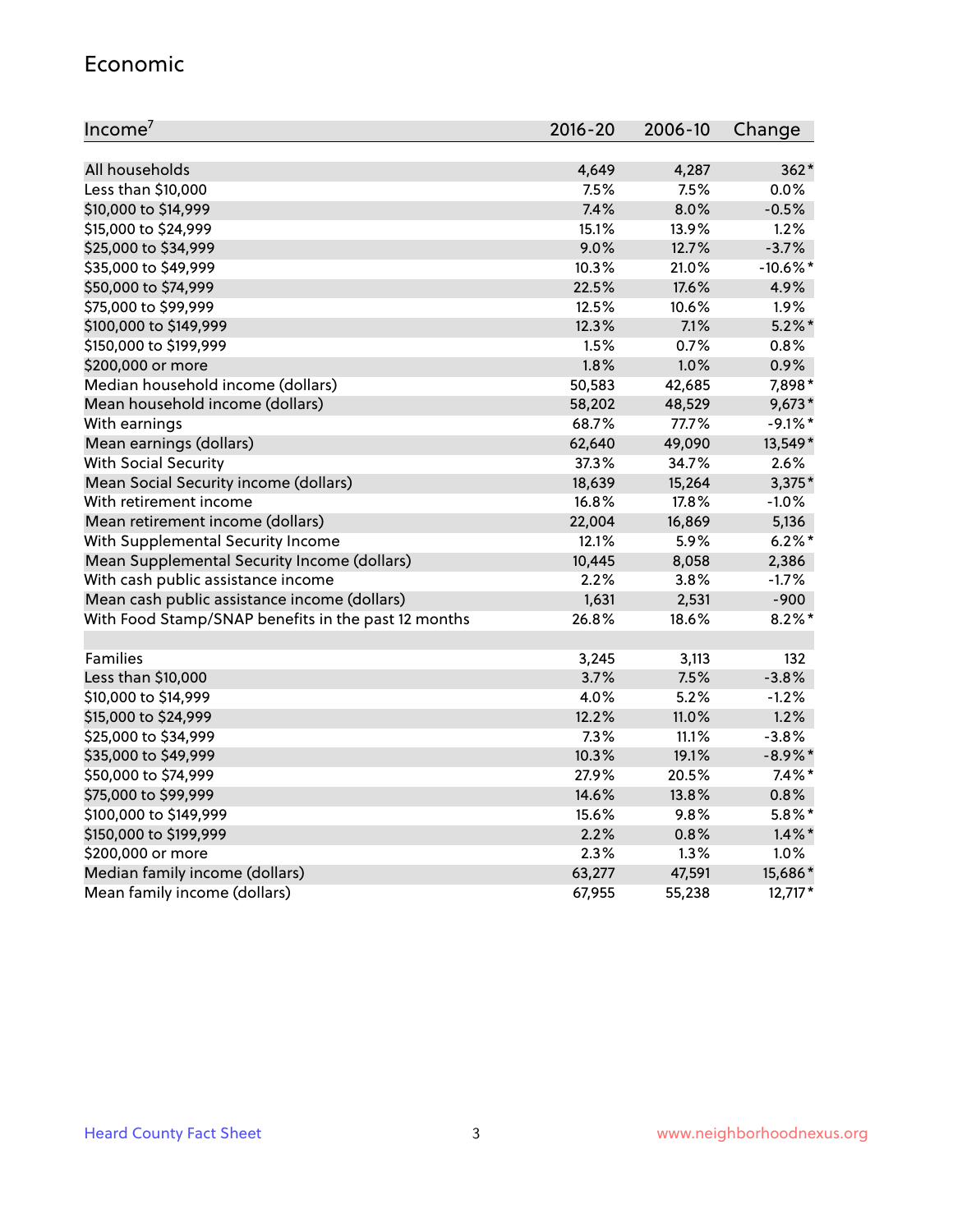#### Economic

| Income <sup>7</sup>                                 | 2016-20 | 2006-10 | Change      |
|-----------------------------------------------------|---------|---------|-------------|
|                                                     |         |         |             |
| All households                                      | 4,649   | 4,287   | $362*$      |
| Less than \$10,000                                  | 7.5%    | 7.5%    | 0.0%        |
| \$10,000 to \$14,999                                | 7.4%    | 8.0%    | $-0.5%$     |
| \$15,000 to \$24,999                                | 15.1%   | 13.9%   | 1.2%        |
| \$25,000 to \$34,999                                | 9.0%    | 12.7%   | $-3.7%$     |
| \$35,000 to \$49,999                                | 10.3%   | 21.0%   | $-10.6\%$ * |
| \$50,000 to \$74,999                                | 22.5%   | 17.6%   | 4.9%        |
| \$75,000 to \$99,999                                | 12.5%   | 10.6%   | 1.9%        |
| \$100,000 to \$149,999                              | 12.3%   | 7.1%    | $5.2\%$ *   |
| \$150,000 to \$199,999                              | 1.5%    | 0.7%    | 0.8%        |
| \$200,000 or more                                   | 1.8%    | 1.0%    | 0.9%        |
| Median household income (dollars)                   | 50,583  | 42,685  | 7,898*      |
| Mean household income (dollars)                     | 58,202  | 48,529  | $9,673*$    |
| With earnings                                       | 68.7%   | 77.7%   | $-9.1\%$ *  |
| Mean earnings (dollars)                             | 62,640  | 49,090  | 13,549*     |
| <b>With Social Security</b>                         | 37.3%   | 34.7%   | 2.6%        |
| Mean Social Security income (dollars)               | 18,639  | 15,264  | $3,375*$    |
| With retirement income                              | 16.8%   | 17.8%   | $-1.0%$     |
| Mean retirement income (dollars)                    | 22,004  | 16,869  | 5,136       |
| With Supplemental Security Income                   | 12.1%   | 5.9%    | $6.2%$ *    |
| Mean Supplemental Security Income (dollars)         | 10,445  | 8,058   | 2,386       |
| With cash public assistance income                  | 2.2%    | 3.8%    | $-1.7%$     |
| Mean cash public assistance income (dollars)        | 1,631   | 2,531   | $-900$      |
| With Food Stamp/SNAP benefits in the past 12 months | 26.8%   | 18.6%   | $8.2\%$ *   |
|                                                     |         |         |             |
| Families                                            | 3,245   | 3,113   | 132         |
| Less than \$10,000                                  | 3.7%    | 7.5%    | $-3.8%$     |
| \$10,000 to \$14,999                                | 4.0%    | 5.2%    | $-1.2%$     |
| \$15,000 to \$24,999                                | 12.2%   | 11.0%   | 1.2%        |
| \$25,000 to \$34,999                                | 7.3%    | 11.1%   | $-3.8%$     |
| \$35,000 to \$49,999                                | 10.3%   | 19.1%   | $-8.9\%$ *  |
| \$50,000 to \$74,999                                | 27.9%   | 20.5%   | $7.4\%$ *   |
| \$75,000 to \$99,999                                | 14.6%   | 13.8%   | 0.8%        |
| \$100,000 to \$149,999                              | 15.6%   | 9.8%    | $5.8\%$ *   |
| \$150,000 to \$199,999                              | 2.2%    | 0.8%    | $1.4\%$ *   |
| \$200,000 or more                                   | 2.3%    | 1.3%    | 1.0%        |
| Median family income (dollars)                      | 63,277  | 47,591  | 15,686*     |
| Mean family income (dollars)                        | 67,955  | 55,238  | $12,717*$   |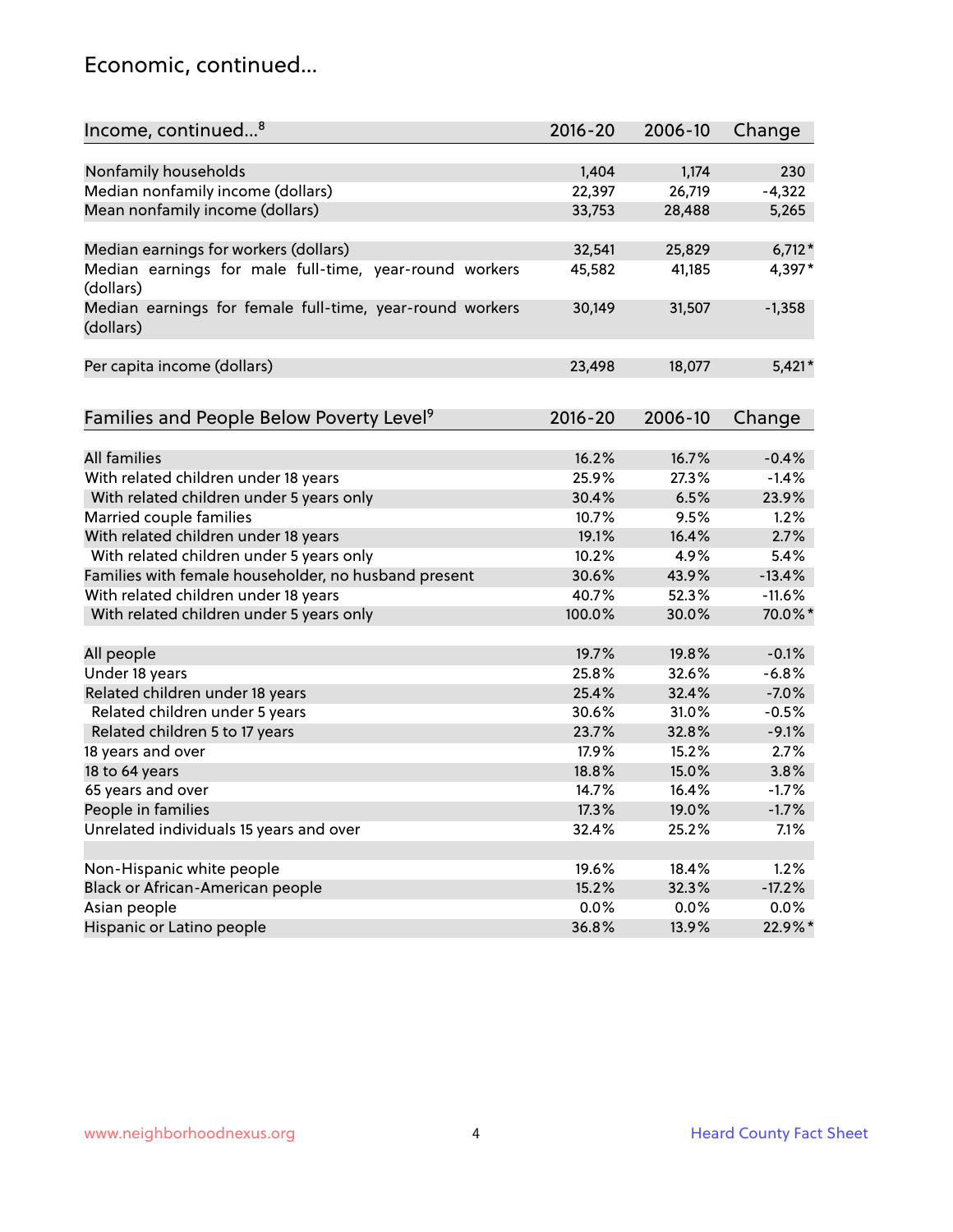### Economic, continued...

| Income, continued <sup>8</sup>                                        | $2016 - 20$ | 2006-10 | Change   |
|-----------------------------------------------------------------------|-------------|---------|----------|
|                                                                       |             |         |          |
| Nonfamily households                                                  | 1,404       | 1,174   | 230      |
| Median nonfamily income (dollars)                                     | 22,397      | 26,719  | $-4,322$ |
| Mean nonfamily income (dollars)                                       | 33,753      | 28,488  | 5,265    |
| Median earnings for workers (dollars)                                 | 32,541      | 25,829  | $6,712*$ |
| Median earnings for male full-time, year-round workers                | 45,582      | 41,185  | 4,397*   |
| (dollars)                                                             |             |         |          |
| Median earnings for female full-time, year-round workers<br>(dollars) | 30,149      | 31,507  | $-1,358$ |
| Per capita income (dollars)                                           | 23,498      | 18,077  | $5,421*$ |
|                                                                       |             |         |          |
| Families and People Below Poverty Level <sup>9</sup>                  | 2016-20     | 2006-10 | Change   |
| <b>All families</b>                                                   |             |         |          |
|                                                                       | 16.2%       | 16.7%   | $-0.4%$  |
| With related children under 18 years                                  | 25.9%       | 27.3%   | $-1.4%$  |
| With related children under 5 years only                              | 30.4%       | 6.5%    | 23.9%    |
| Married couple families                                               | 10.7%       | 9.5%    | 1.2%     |
| With related children under 18 years                                  | 19.1%       | 16.4%   | 2.7%     |
| With related children under 5 years only                              | 10.2%       | 4.9%    | 5.4%     |
| Families with female householder, no husband present                  | 30.6%       | 43.9%   | $-13.4%$ |
| With related children under 18 years                                  | 40.7%       | 52.3%   | $-11.6%$ |
| With related children under 5 years only                              | 100.0%      | 30.0%   | 70.0%*   |
| All people                                                            | 19.7%       | 19.8%   | $-0.1%$  |
| Under 18 years                                                        | 25.8%       | 32.6%   | $-6.8%$  |
| Related children under 18 years                                       | 25.4%       | 32.4%   | $-7.0%$  |
| Related children under 5 years                                        | 30.6%       | 31.0%   | $-0.5%$  |
| Related children 5 to 17 years                                        | 23.7%       | 32.8%   | $-9.1%$  |
| 18 years and over                                                     | 17.9%       | 15.2%   | 2.7%     |
| 18 to 64 years                                                        | 18.8%       | 15.0%   | 3.8%     |
| 65 years and over                                                     | 14.7%       | 16.4%   | $-1.7%$  |
| People in families                                                    | 17.3%       | 19.0%   | $-1.7%$  |
| Unrelated individuals 15 years and over                               | 32.4%       | 25.2%   | 7.1%     |
|                                                                       |             |         |          |
| Non-Hispanic white people                                             | 19.6%       | 18.4%   | 1.2%     |
| Black or African-American people                                      | 15.2%       | 32.3%   | $-17.2%$ |
| Asian people                                                          | 0.0%        | 0.0%    | $0.0\%$  |
| Hispanic or Latino people                                             | 36.8%       | 13.9%   | 22.9%*   |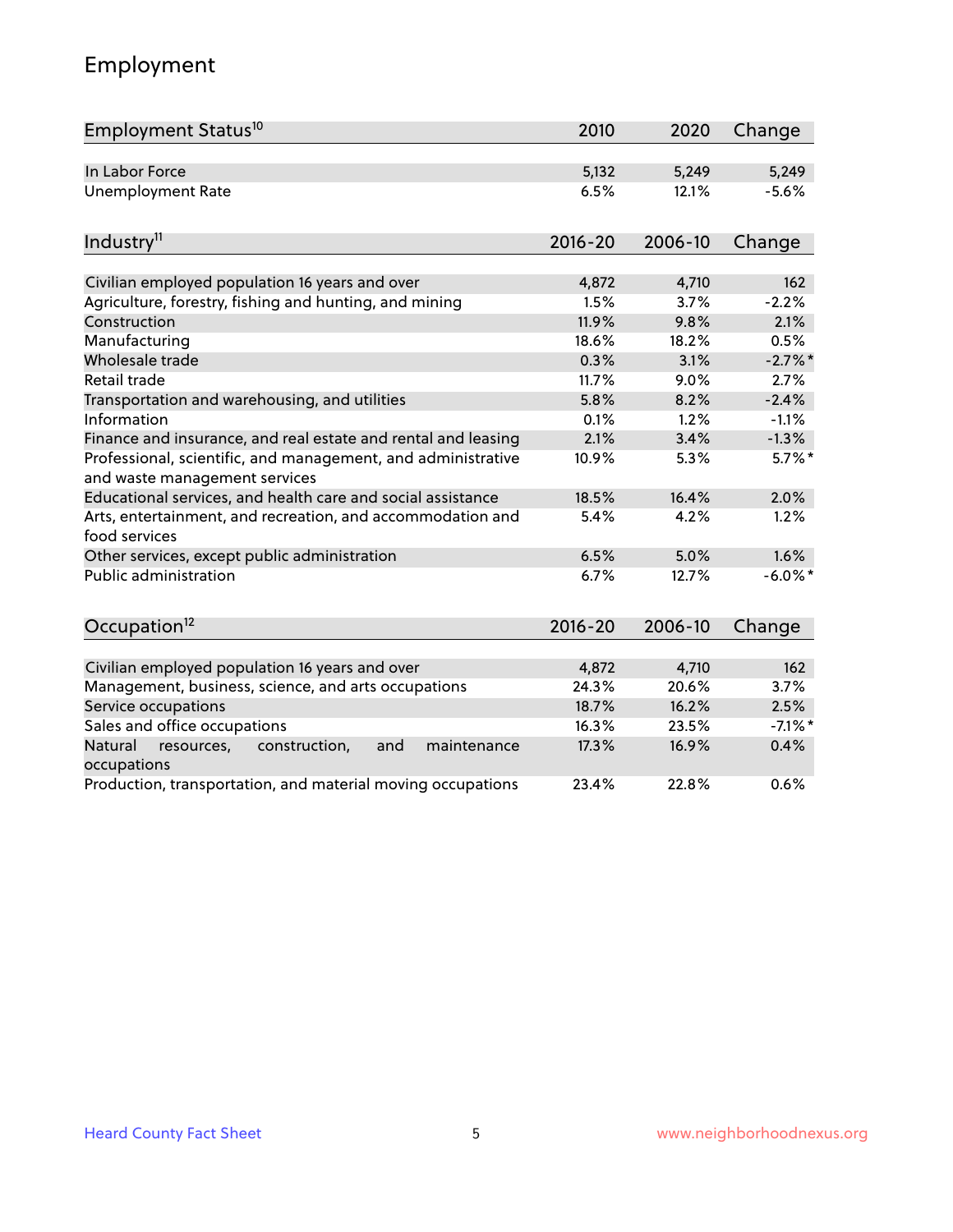## Employment

| Employment Status <sup>10</sup>                                                               | 2010        | 2020    | Change     |
|-----------------------------------------------------------------------------------------------|-------------|---------|------------|
| In Labor Force                                                                                | 5,132       | 5,249   | 5,249      |
| <b>Unemployment Rate</b>                                                                      | 6.5%        | 12.1%   | $-5.6%$    |
| Industry <sup>11</sup>                                                                        | $2016 - 20$ | 2006-10 | Change     |
|                                                                                               |             |         |            |
| Civilian employed population 16 years and over                                                | 4,872       | 4,710   | 162        |
| Agriculture, forestry, fishing and hunting, and mining                                        | 1.5%        | 3.7%    | $-2.2%$    |
| Construction                                                                                  | 11.9%       | 9.8%    | 2.1%       |
| Manufacturing                                                                                 | 18.6%       | 18.2%   | 0.5%       |
| Wholesale trade                                                                               | 0.3%        | 3.1%    | $-2.7\%$ * |
| Retail trade                                                                                  | 11.7%       | 9.0%    | 2.7%       |
| Transportation and warehousing, and utilities                                                 | 5.8%        | 8.2%    | $-2.4%$    |
| Information                                                                                   | 0.1%        | 1.2%    | $-1.1%$    |
| Finance and insurance, and real estate and rental and leasing                                 | 2.1%        | 3.4%    | $-1.3%$    |
| Professional, scientific, and management, and administrative<br>and waste management services | 10.9%       | 5.3%    | $5.7\%$ *  |
| Educational services, and health care and social assistance                                   | 18.5%       | 16.4%   | 2.0%       |
| Arts, entertainment, and recreation, and accommodation and<br>food services                   | 5.4%        | 4.2%    | 1.2%       |
| Other services, except public administration                                                  | 6.5%        | 5.0%    | 1.6%       |
| <b>Public administration</b>                                                                  | 6.7%        | 12.7%   | $-6.0\%$ * |
| Occupation <sup>12</sup>                                                                      | $2016 - 20$ | 2006-10 | Change     |
|                                                                                               |             |         |            |
| Civilian employed population 16 years and over                                                | 4,872       | 4,710   | 162        |
| Management, business, science, and arts occupations                                           | 24.3%       | 20.6%   | 3.7%       |
| Service occupations                                                                           | 18.7%       | 16.2%   | 2.5%       |
| Sales and office occupations                                                                  | 16.3%       | 23.5%   | $-7.1\%$ * |
| Natural<br>resources,<br>construction,<br>and<br>maintenance<br>occupations                   | 17.3%       | 16.9%   | 0.4%       |
| Production, transportation, and material moving occupations                                   | 23.4%       | 22.8%   | 0.6%       |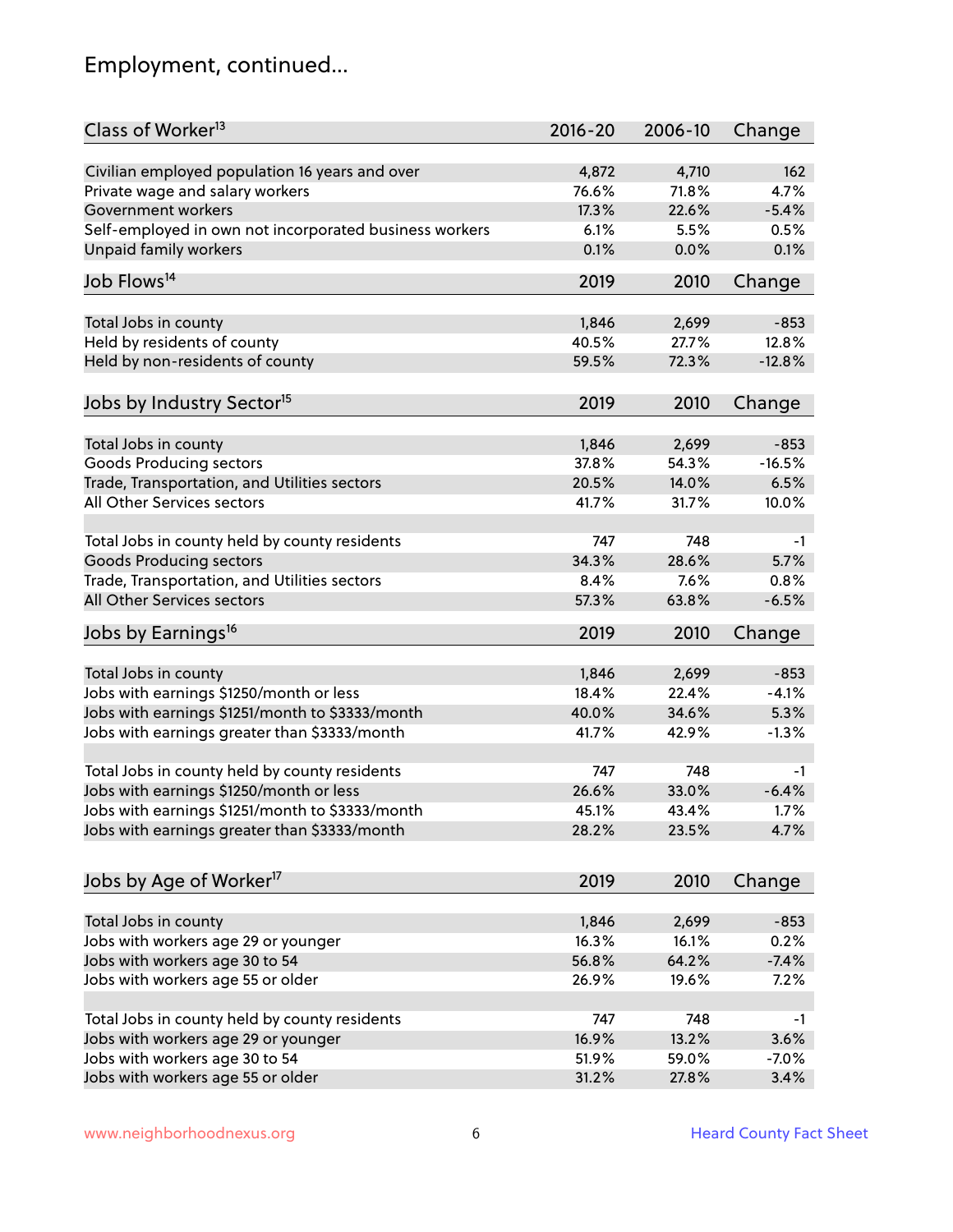## Employment, continued...

| Class of Worker <sup>13</sup>                          | $2016 - 20$    | 2006-10 | Change   |
|--------------------------------------------------------|----------------|---------|----------|
| Civilian employed population 16 years and over         | 4,872          | 4,710   | 162      |
| Private wage and salary workers                        | 76.6%          | 71.8%   | 4.7%     |
| Government workers                                     | 17.3%          | 22.6%   | $-5.4%$  |
| Self-employed in own not incorporated business workers | 6.1%           | 5.5%    | 0.5%     |
| Unpaid family workers                                  | 0.1%           | 0.0%    | 0.1%     |
|                                                        |                |         |          |
| Job Flows <sup>14</sup>                                | 2019           | 2010    | Change   |
| Total Jobs in county                                   | 1,846          | 2,699   | $-853$   |
| Held by residents of county                            | 40.5%          | 27.7%   | 12.8%    |
| Held by non-residents of county                        | 59.5%          | 72.3%   | $-12.8%$ |
|                                                        |                |         |          |
| Jobs by Industry Sector <sup>15</sup>                  | 2019           | 2010    | Change   |
| Total Jobs in county                                   | 1,846          | 2,699   | $-853$   |
| Goods Producing sectors                                | 37.8%          | 54.3%   | $-16.5%$ |
| Trade, Transportation, and Utilities sectors           | 20.5%          | 14.0%   | 6.5%     |
| All Other Services sectors                             | 41.7%          | 31.7%   | 10.0%    |
|                                                        |                |         |          |
| Total Jobs in county held by county residents          | 747            | 748     | -1       |
| <b>Goods Producing sectors</b>                         | 34.3%          | 28.6%   | 5.7%     |
| Trade, Transportation, and Utilities sectors           | 8.4%           | 7.6%    | 0.8%     |
| All Other Services sectors                             | 57.3%          | 63.8%   | $-6.5%$  |
| Jobs by Earnings <sup>16</sup>                         | 2019           | 2010    | Change   |
|                                                        |                |         |          |
| Total Jobs in county                                   | 1,846          | 2,699   | $-853$   |
| Jobs with earnings \$1250/month or less                | 18.4%          | 22.4%   | $-4.1%$  |
| Jobs with earnings \$1251/month to \$3333/month        | 40.0%          | 34.6%   | 5.3%     |
| Jobs with earnings greater than \$3333/month           | 41.7%          | 42.9%   | $-1.3%$  |
| Total Jobs in county held by county residents          | 747            | 748     | -1       |
| Jobs with earnings \$1250/month or less                | 26.6%          | 33.0%   | $-6.4%$  |
| Jobs with earnings \$1251/month to \$3333/month        | 45.1%          | 43.4%   | $1.7\%$  |
| Jobs with earnings greater than \$3333/month           | 28.2%          | 23.5%   | 4.7%     |
|                                                        |                |         |          |
| Jobs by Age of Worker <sup>17</sup>                    | 2019           | 2010    | Change   |
|                                                        |                |         |          |
| Total Jobs in county                                   | 1,846<br>16.3% | 2,699   | $-853$   |
| Jobs with workers age 29 or younger                    |                | 16.1%   | 0.2%     |
| Jobs with workers age 30 to 54                         | 56.8%          | 64.2%   | $-7.4%$  |
| Jobs with workers age 55 or older                      | 26.9%          | 19.6%   | 7.2%     |
| Total Jobs in county held by county residents          | 747            | 748     | -1       |
| Jobs with workers age 29 or younger                    | 16.9%          | 13.2%   | 3.6%     |
| Jobs with workers age 30 to 54                         | 51.9%          | 59.0%   | $-7.0%$  |
| Jobs with workers age 55 or older                      | 31.2%          | 27.8%   | 3.4%     |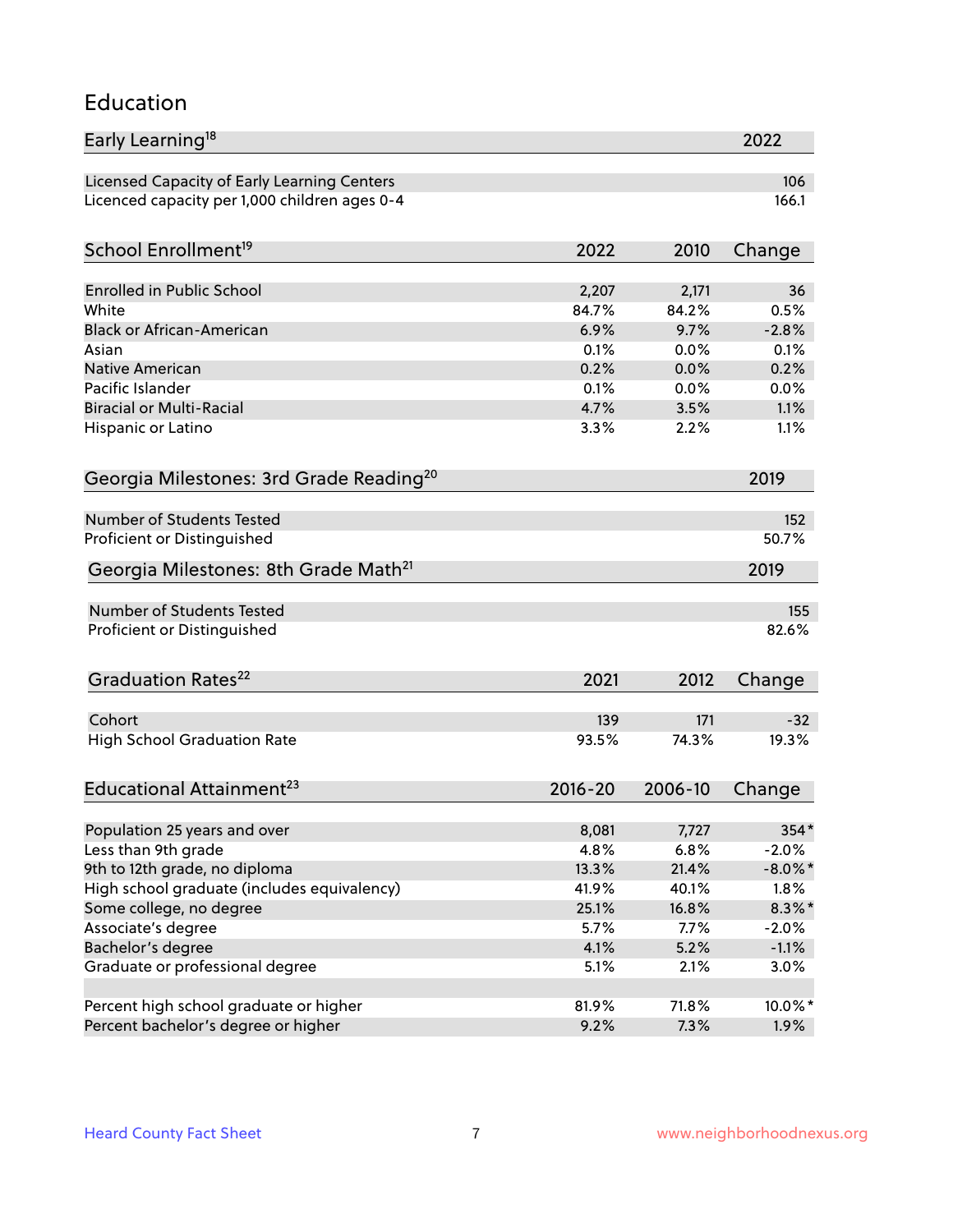#### Education

| Early Learning <sup>18</sup>                        |                |                | 2022            |
|-----------------------------------------------------|----------------|----------------|-----------------|
| Licensed Capacity of Early Learning Centers         |                |                | 106             |
| Licenced capacity per 1,000 children ages 0-4       |                |                | 166.1           |
| School Enrollment <sup>19</sup>                     | 2022           | 2010           | Change          |
|                                                     |                |                |                 |
| <b>Enrolled in Public School</b><br>White           | 2,207<br>84.7% | 2,171<br>84.2% | 36              |
| <b>Black or African-American</b>                    | 6.9%           | 9.7%           | 0.5%<br>$-2.8%$ |
| Asian                                               | 0.1%           | 0.0%           | 0.1%            |
| <b>Native American</b>                              | 0.2%           | 0.0%           | 0.2%            |
| Pacific Islander                                    | 0.1%           | 0.0%           | 0.0%            |
| <b>Biracial or Multi-Racial</b>                     | 4.7%           | 3.5%           | 1.1%            |
| Hispanic or Latino                                  | 3.3%           | 2.2%           | 1.1%            |
| Georgia Milestones: 3rd Grade Reading <sup>20</sup> |                |                | 2019            |
|                                                     |                |                |                 |
| Number of Students Tested                           |                |                | 152             |
| Proficient or Distinguished                         |                |                | 50.7%           |
| Georgia Milestones: 8th Grade Math <sup>21</sup>    |                |                | 2019            |
| Number of Students Tested                           |                |                | 155             |
| Proficient or Distinguished                         |                |                | 82.6%           |
| Graduation Rates <sup>22</sup>                      | 2021           | 2012           | Change          |
|                                                     |                |                |                 |
| Cohort                                              | 139            | 171            | $-32$           |
| <b>High School Graduation Rate</b>                  | 93.5%          | 74.3%          | 19.3%           |
| Educational Attainment <sup>23</sup>                | $2016 - 20$    | 2006-10        | Change          |
| Population 25 years and over                        | 8,081          | 7,727          | 354*            |
| Less than 9th grade                                 | 4.8%           | 6.8%           | $-2.0%$         |
| 9th to 12th grade, no diploma                       | 13.3%          | 21.4%          | $-8.0\%$ *      |
| High school graduate (includes equivalency)         | 41.9%          | 40.1%          | 1.8%            |
| Some college, no degree                             | 25.1%          | 16.8%          | $8.3\%$ *       |
| Associate's degree                                  | 5.7%           | 7.7%           | $-2.0%$         |
| Bachelor's degree                                   | 4.1%           | 5.2%           | $-1.1%$         |
| Graduate or professional degree                     | 5.1%           | 2.1%           | 3.0%            |
|                                                     |                |                |                 |
| Percent high school graduate or higher              | 81.9%          | 71.8%          | 10.0%*          |
| Percent bachelor's degree or higher                 | 9.2%           | 7.3%           | 1.9%            |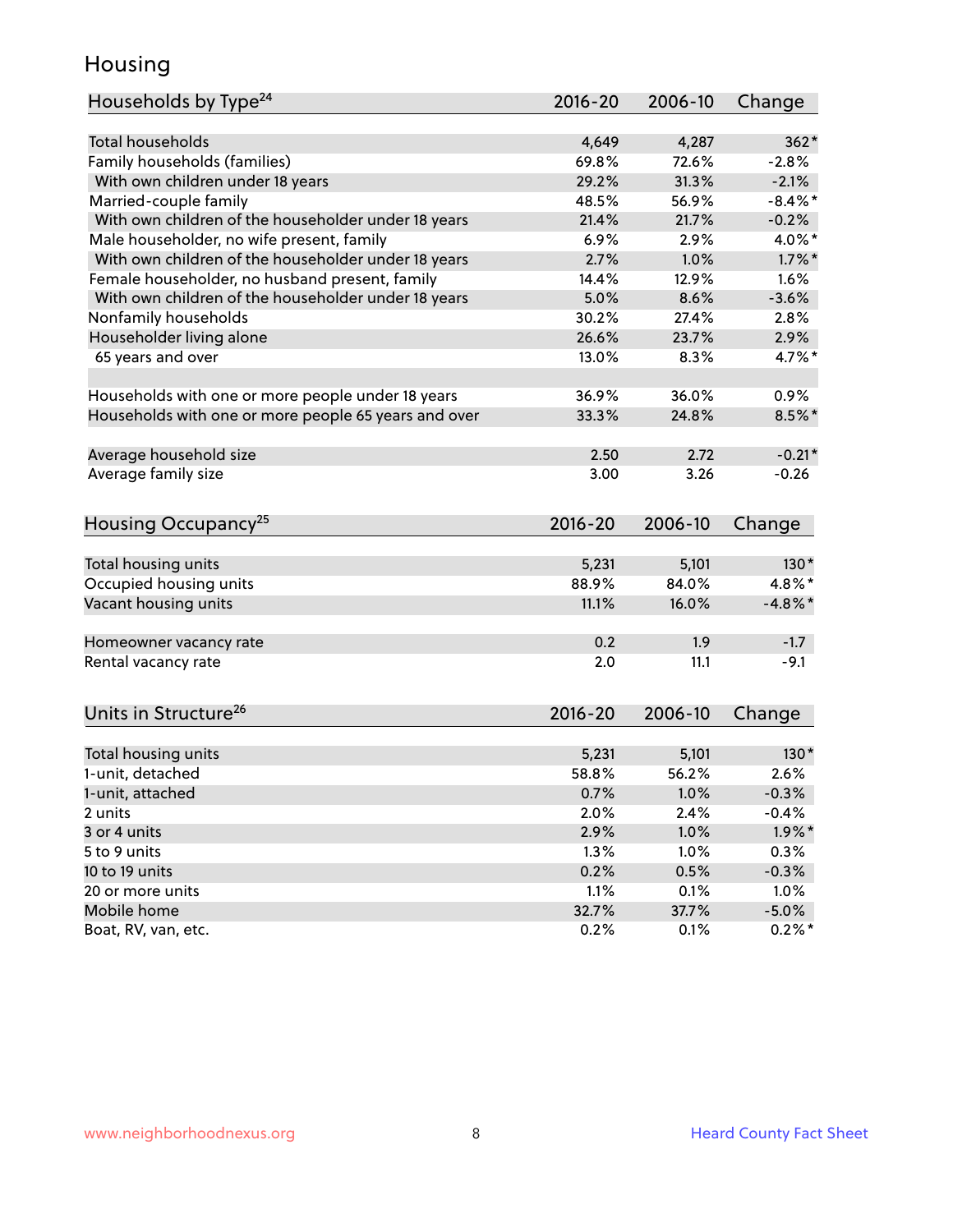### Housing

| Households by Type <sup>24</sup>                     | 2016-20        | 2006-10 | Change     |
|------------------------------------------------------|----------------|---------|------------|
|                                                      |                |         |            |
| <b>Total households</b>                              | 4,649          | 4,287   | $362*$     |
| Family households (families)                         | 69.8%          | 72.6%   | $-2.8%$    |
| With own children under 18 years                     | 29.2%          | 31.3%   | $-2.1%$    |
| Married-couple family                                | 48.5%          | 56.9%   | $-8.4\%$ * |
| With own children of the householder under 18 years  | 21.4%          | 21.7%   | $-0.2%$    |
| Male householder, no wife present, family            | 6.9%           | 2.9%    | 4.0%*      |
| With own children of the householder under 18 years  | 2.7%           | 1.0%    | $1.7\%$ *  |
| Female householder, no husband present, family       | 14.4%          | 12.9%   | 1.6%       |
| With own children of the householder under 18 years  | 5.0%           | 8.6%    | $-3.6%$    |
| Nonfamily households                                 | 30.2%          | 27.4%   | 2.8%       |
| Householder living alone                             | 26.6%          | 23.7%   | 2.9%       |
| 65 years and over                                    | 13.0%          | 8.3%    | 4.7%*      |
|                                                      | 36.9%          | 36.0%   |            |
| Households with one or more people under 18 years    |                |         | 0.9%       |
| Households with one or more people 65 years and over | 33.3%          | 24.8%   | 8.5%*      |
| Average household size                               | 2.50           | 2.72    | $-0.21*$   |
| Average family size                                  | 3.00           | 3.26    | $-0.26$    |
|                                                      |                |         |            |
| Housing Occupancy <sup>25</sup>                      | 2016-20        | 2006-10 | Change     |
| Total housing units                                  | 5,231          | 5,101   | $130*$     |
| Occupied housing units                               | 88.9%          | 84.0%   | 4.8%*      |
|                                                      | 11.1%          | 16.0%   | $-4.8\%$ * |
| Vacant housing units                                 |                |         |            |
| Homeowner vacancy rate                               | 0.2            | 1.9     | $-1.7$     |
| Rental vacancy rate                                  | 2.0            | 11.1    | $-9.1$     |
|                                                      |                |         |            |
| Units in Structure <sup>26</sup>                     | $2016 - 20$    | 2006-10 | Change     |
|                                                      |                | 5,101   | $130*$     |
| Total housing units                                  | 5,231<br>58.8% | 56.2%   | 2.6%       |
| 1-unit, detached                                     |                |         |            |
| 1-unit, attached                                     | 0.7%           | 1.0%    | $-0.3%$    |
| 2 units                                              | 2.0%           | 2.4%    | $-0.4%$    |
| 3 or 4 units                                         | 2.9%           | 1.0%    | $1.9\%$ *  |
| 5 to 9 units                                         | 1.3%           | 1.0%    | 0.3%       |
| 10 to 19 units                                       | 0.2%           | 0.5%    | $-0.3%$    |
| 20 or more units                                     | 1.1%           | 0.1%    | 1.0%       |
| Mobile home                                          | 32.7%          | 37.7%   | $-5.0%$    |
| Boat, RV, van, etc.                                  | 0.2%           | 0.1%    | $0.2%$ *   |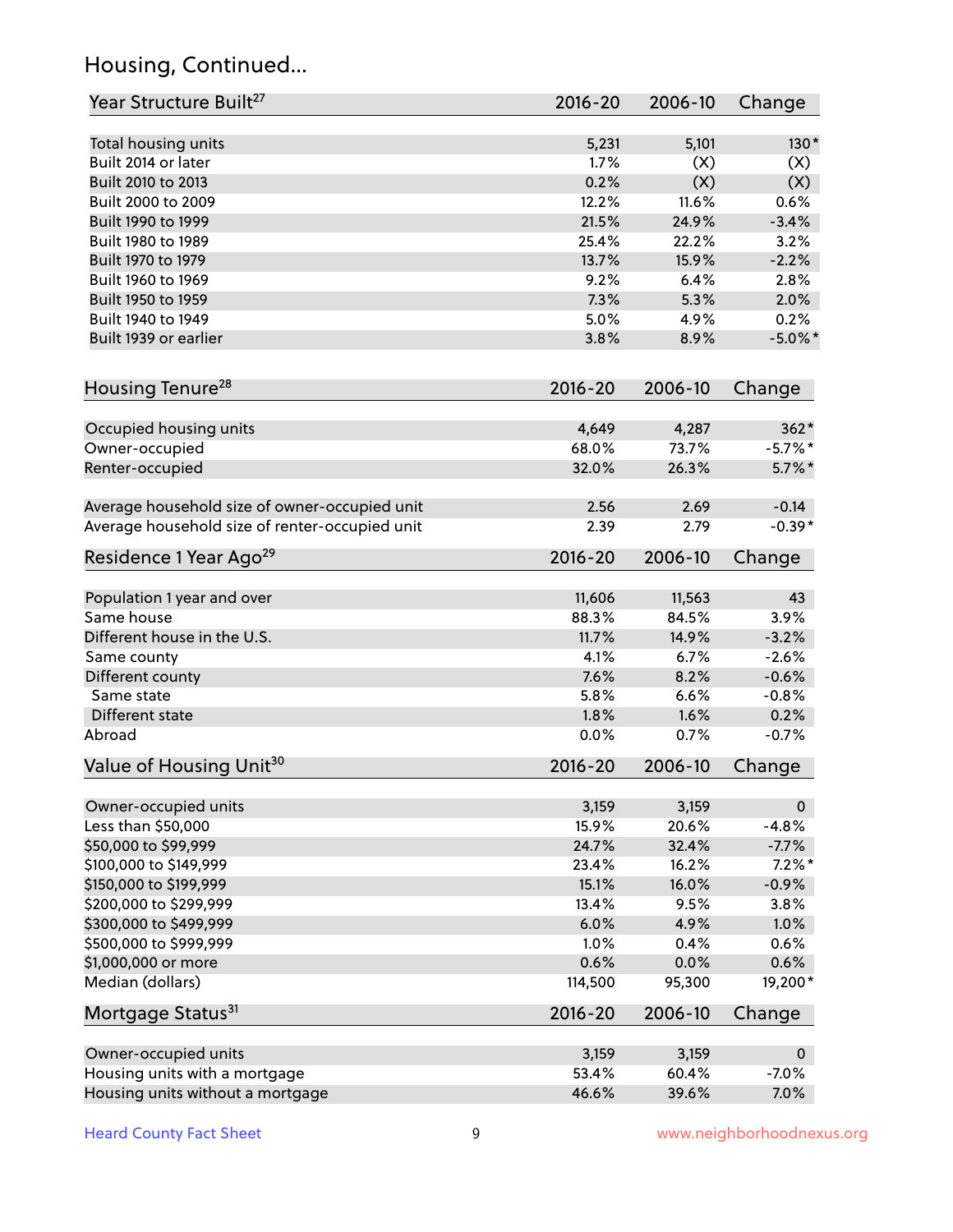## Housing, Continued...

| Year Structure Built <sup>27</sup>             | 2016-20     | 2006-10 | Change       |
|------------------------------------------------|-------------|---------|--------------|
| Total housing units                            | 5,231       | 5,101   | $130*$       |
| Built 2014 or later                            | 1.7%        | (X)     | (X)          |
| Built 2010 to 2013                             | 0.2%        | (X)     | (X)          |
| Built 2000 to 2009                             | 12.2%       | 11.6%   | 0.6%         |
|                                                | 21.5%       |         |              |
| Built 1990 to 1999                             | 25.4%       | 24.9%   | $-3.4%$      |
| Built 1980 to 1989                             |             | 22.2%   | 3.2%         |
| Built 1970 to 1979                             | 13.7%       | 15.9%   | $-2.2%$      |
| Built 1960 to 1969                             | 9.2%        | 6.4%    | 2.8%         |
| Built 1950 to 1959                             | 7.3%        | 5.3%    | 2.0%         |
| Built 1940 to 1949                             | 5.0%        | 4.9%    | 0.2%         |
| Built 1939 or earlier                          | 3.8%        | 8.9%    | $-5.0\%$ *   |
| Housing Tenure <sup>28</sup>                   | $2016 - 20$ | 2006-10 | Change       |
| Occupied housing units                         | 4,649       | 4,287   | $362*$       |
| Owner-occupied                                 | 68.0%       | 73.7%   | $-5.7\%$ *   |
| Renter-occupied                                | 32.0%       | 26.3%   | $5.7\%$ *    |
|                                                |             |         |              |
| Average household size of owner-occupied unit  | 2.56        | 2.69    | $-0.14$      |
| Average household size of renter-occupied unit | 2.39        | 2.79    | $-0.39*$     |
| Residence 1 Year Ago <sup>29</sup>             | 2016-20     | 2006-10 | Change       |
|                                                |             |         |              |
| Population 1 year and over                     | 11,606      | 11,563  | 43           |
| Same house                                     | 88.3%       | 84.5%   | 3.9%         |
| Different house in the U.S.                    | 11.7%       | 14.9%   | $-3.2%$      |
| Same county                                    | 4.1%        | 6.7%    | $-2.6%$      |
| Different county                               | 7.6%        | 8.2%    | $-0.6%$      |
| Same state                                     | 5.8%        | 6.6%    | $-0.8%$      |
| Different state                                | 1.8%        | 1.6%    | 0.2%         |
| Abroad                                         | 0.0%        | 0.7%    | $-0.7%$      |
| Value of Housing Unit <sup>30</sup>            | 2016-20     | 2006-10 | Change       |
|                                                |             |         |              |
| Owner-occupied units                           | 3,159       | 3,159   | $\mathbf 0$  |
| Less than \$50,000                             | 15.9%       | 20.6%   | $-4.8%$      |
| \$50,000 to \$99,999                           | 24.7%       | 32.4%   | $-7.7%$      |
| \$100,000 to \$149,999                         | 23.4%       | 16.2%   | $7.2\%$ *    |
| \$150,000 to \$199,999                         | 15.1%       | 16.0%   | $-0.9%$      |
| \$200,000 to \$299,999                         | 13.4%       | 9.5%    | 3.8%         |
| \$300,000 to \$499,999                         | 6.0%        | 4.9%    | 1.0%         |
| \$500,000 to \$999,999                         | 1.0%        | 0.4%    | 0.6%         |
| \$1,000,000 or more                            | 0.6%        | 0.0%    | 0.6%         |
| Median (dollars)                               | 114,500     | 95,300  | 19,200*      |
| Mortgage Status <sup>31</sup>                  | $2016 - 20$ | 2006-10 | Change       |
| Owner-occupied units                           | 3,159       | 3,159   | $\mathbf{0}$ |
| Housing units with a mortgage                  | 53.4%       | 60.4%   | $-7.0%$      |
| Housing units without a mortgage               | 46.6%       | 39.6%   | 7.0%         |
|                                                |             |         |              |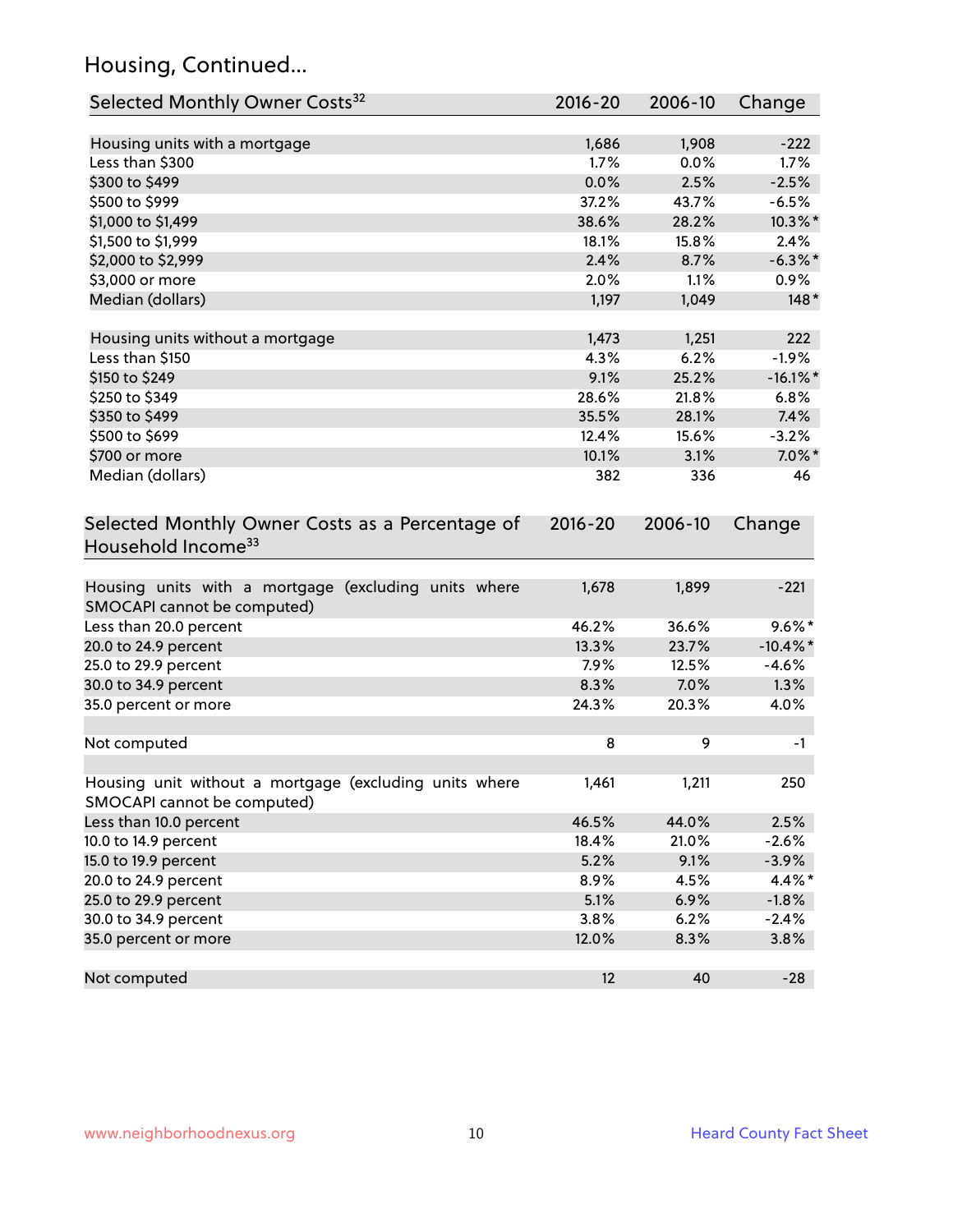## Housing, Continued...

| Selected Monthly Owner Costs <sup>32</sup>                                          | 2016-20     | 2006-10 | Change      |
|-------------------------------------------------------------------------------------|-------------|---------|-------------|
| Housing units with a mortgage                                                       | 1,686       | 1,908   | $-222$      |
| Less than \$300                                                                     | 1.7%        | 0.0%    | 1.7%        |
| \$300 to \$499                                                                      | 0.0%        | 2.5%    | $-2.5%$     |
| \$500 to \$999                                                                      | 37.2%       | 43.7%   | $-6.5%$     |
| \$1,000 to \$1,499                                                                  | 38.6%       | 28.2%   | 10.3%*      |
| \$1,500 to \$1,999                                                                  | 18.1%       | 15.8%   | 2.4%        |
| \$2,000 to \$2,999                                                                  | 2.4%        | 8.7%    | $-6.3\%$ *  |
| \$3,000 or more                                                                     | 2.0%        | 1.1%    | 0.9%        |
| Median (dollars)                                                                    | 1,197       | 1,049   | $148*$      |
|                                                                                     |             |         |             |
| Housing units without a mortgage                                                    | 1,473       | 1,251   | 222         |
| Less than \$150                                                                     | 4.3%        | 6.2%    | $-1.9%$     |
| \$150 to \$249                                                                      | 9.1%        | 25.2%   | $-16.1\%$ * |
| \$250 to \$349                                                                      | 28.6%       | 21.8%   | 6.8%        |
| \$350 to \$499                                                                      | 35.5%       | 28.1%   | 7.4%        |
| \$500 to \$699                                                                      | 12.4%       | 15.6%   | $-3.2%$     |
| \$700 or more                                                                       | 10.1%       | 3.1%    | $7.0\%$ *   |
| Median (dollars)                                                                    | 382         | 336     | 46          |
| Selected Monthly Owner Costs as a Percentage of<br>Household Income <sup>33</sup>   | $2016 - 20$ | 2006-10 | Change      |
| Housing units with a mortgage (excluding units where<br>SMOCAPI cannot be computed) | 1,678       | 1,899   | $-221$      |
| Less than 20.0 percent                                                              | 46.2%       | 36.6%   | $9.6\%*$    |
| 20.0 to 24.9 percent                                                                | 13.3%       | 23.7%   | $-10.4\%$ * |
| 25.0 to 29.9 percent                                                                | 7.9%        | 12.5%   | $-4.6%$     |
| 30.0 to 34.9 percent                                                                | 8.3%        | 7.0%    | 1.3%        |
| 35.0 percent or more                                                                | 24.3%       | 20.3%   | 4.0%        |
| Not computed                                                                        | 8           | 9       | $-1$        |
| Housing unit without a mortgage (excluding units where                              | 1,461       | 1,211   | 250         |
| SMOCAPI cannot be computed)                                                         |             |         |             |
| Less than 10.0 percent                                                              | 46.5%       | 44.0%   | 2.5%        |
| 10.0 to 14.9 percent                                                                | 18.4%       | 21.0%   | $-2.6%$     |
| 15.0 to 19.9 percent                                                                | 5.2%        | 9.1%    | $-3.9%$     |
| 20.0 to 24.9 percent                                                                | 8.9%        | 4.5%    | 4.4%*       |
| 25.0 to 29.9 percent                                                                | 5.1%        | 6.9%    | $-1.8%$     |
| 30.0 to 34.9 percent                                                                | 3.8%        | 6.2%    | $-2.4%$     |
| 35.0 percent or more                                                                | 12.0%       | 8.3%    | 3.8%        |
| Not computed                                                                        | 12          | 40      | $-28$       |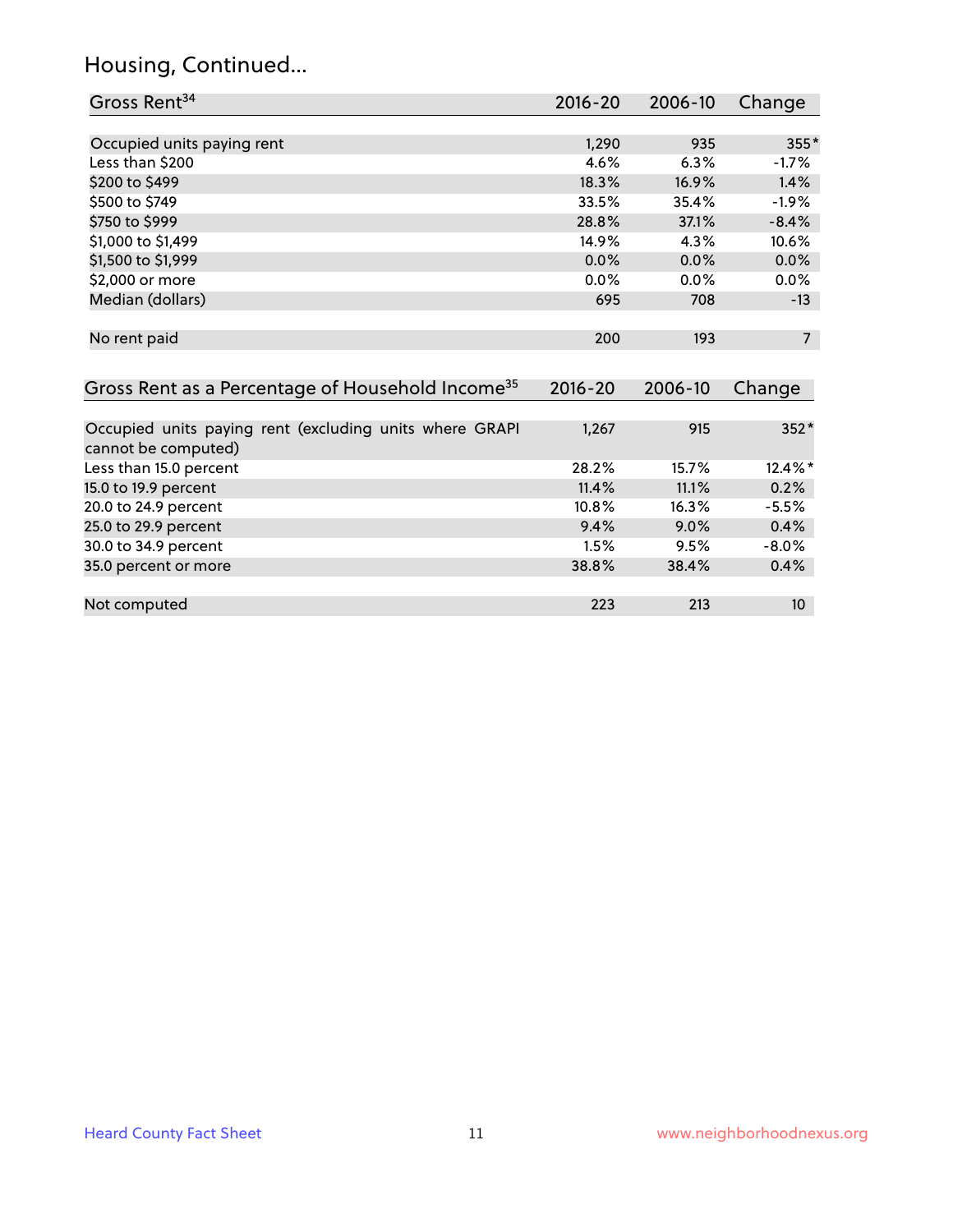### Housing, Continued...

| Gross Rent <sup>34</sup>                                                       | 2016-20     | 2006-10 | Change         |
|--------------------------------------------------------------------------------|-------------|---------|----------------|
|                                                                                |             |         |                |
| Occupied units paying rent                                                     | 1,290       | 935     | 355*           |
| Less than \$200                                                                | 4.6%        | 6.3%    | $-1.7%$        |
| \$200 to \$499                                                                 | 18.3%       | 16.9%   | 1.4%           |
| \$500 to \$749                                                                 | 33.5%       | 35.4%   | $-1.9%$        |
| \$750 to \$999                                                                 | 28.8%       | 37.1%   | $-8.4%$        |
| \$1,000 to \$1,499                                                             | 14.9%       | 4.3%    | 10.6%          |
| \$1,500 to \$1,999                                                             | 0.0%        | 0.0%    | 0.0%           |
| \$2,000 or more                                                                | 0.0%        | 0.0%    | 0.0%           |
| Median (dollars)                                                               | 695         | 708     | $-13$          |
|                                                                                |             |         |                |
| No rent paid                                                                   | 200         | 193     | $\overline{7}$ |
|                                                                                |             |         |                |
| Gross Rent as a Percentage of Household Income <sup>35</sup>                   | $2016 - 20$ | 2006-10 | Change         |
|                                                                                |             |         |                |
| Occupied units paying rent (excluding units where GRAPI<br>cannot be computed) | 1,267       | 915     | 352*           |
| Less than 15.0 percent                                                         | 28.2%       | 15.7%   | 12.4%*         |
| 15.0 to 19.9 percent                                                           | 11.4%       | 11.1%   | 0.2%           |
| 20.0 to 24.9 percent                                                           | 10.8%       | 16.3%   | $-5.5%$        |
| 25.0 to 29.9 percent                                                           | 9.4%        | 9.0%    | 0.4%           |
| 30.0 to 34.9 percent                                                           | 1.5%        | 9.5%    | $-8.0\%$       |
| 35.0 percent or more                                                           | 38.8%       | 38.4%   | 0.4%           |

35.0 percent or more Not computed and the computed and the computed computed and the computed computed and the computed computed and  $223$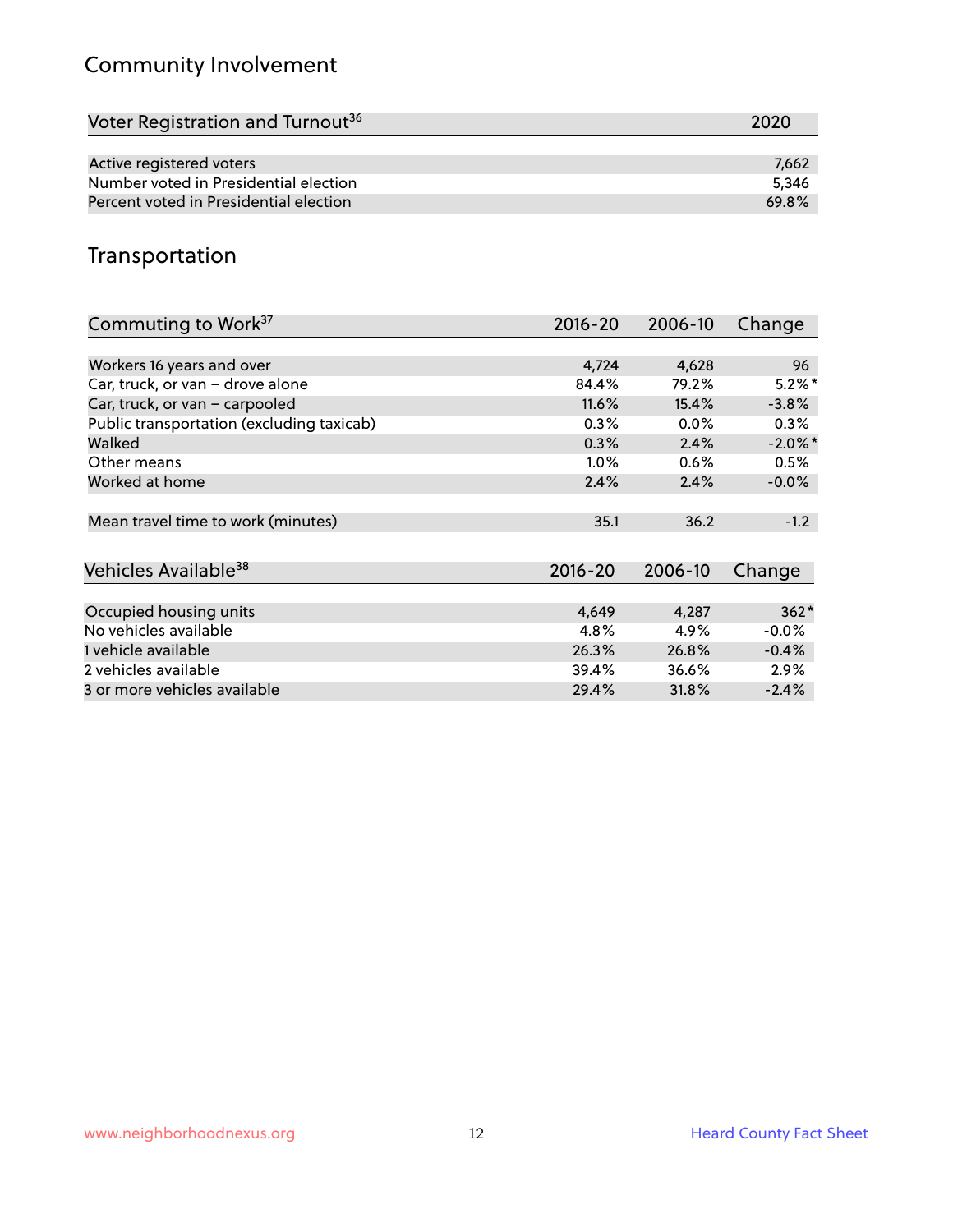## Community Involvement

| Voter Registration and Turnout <sup>36</sup> | 2020  |
|----------------------------------------------|-------|
|                                              |       |
| Active registered voters                     | 7.662 |
| Number voted in Presidential election        | 5.346 |
| Percent voted in Presidential election       | 69.8% |

## Transportation

| Commuting to Work <sup>37</sup>           | 2016-20     | 2006-10 | Change     |
|-------------------------------------------|-------------|---------|------------|
|                                           |             |         |            |
| Workers 16 years and over                 | 4,724       | 4,628   | 96         |
| Car, truck, or van - drove alone          | 84.4%       | 79.2%   | $5.2\%$ *  |
| Car, truck, or van - carpooled            | 11.6%       | 15.4%   | $-3.8%$    |
| Public transportation (excluding taxicab) | 0.3%        | $0.0\%$ | $0.3\%$    |
| Walked                                    | 0.3%        | 2.4%    | $-2.0\%$ * |
| Other means                               | $1.0\%$     | 0.6%    | 0.5%       |
| Worked at home                            | 2.4%        | 2.4%    | $-0.0%$    |
|                                           |             |         |            |
| Mean travel time to work (minutes)        | 35.1        | 36.2    | $-1.2$     |
|                                           |             |         |            |
| Vehicles Available <sup>38</sup>          | $2016 - 20$ | 2006-10 | Change     |
|                                           |             |         |            |
| Occupied housing units                    | 4,649       | 4,287   | $362*$     |
| No vehicles available                     | 4.8%        | 4.9%    | $-0.0\%$   |
| 1 vehicle available                       | 26.3%       | 26.8%   | $-0.4%$    |
| 2 vehicles available                      | 39.4%       | 36.6%   | $2.9\%$    |
| 3 or more vehicles available              | 29.4%       | 31.8%   | $-2.4%$    |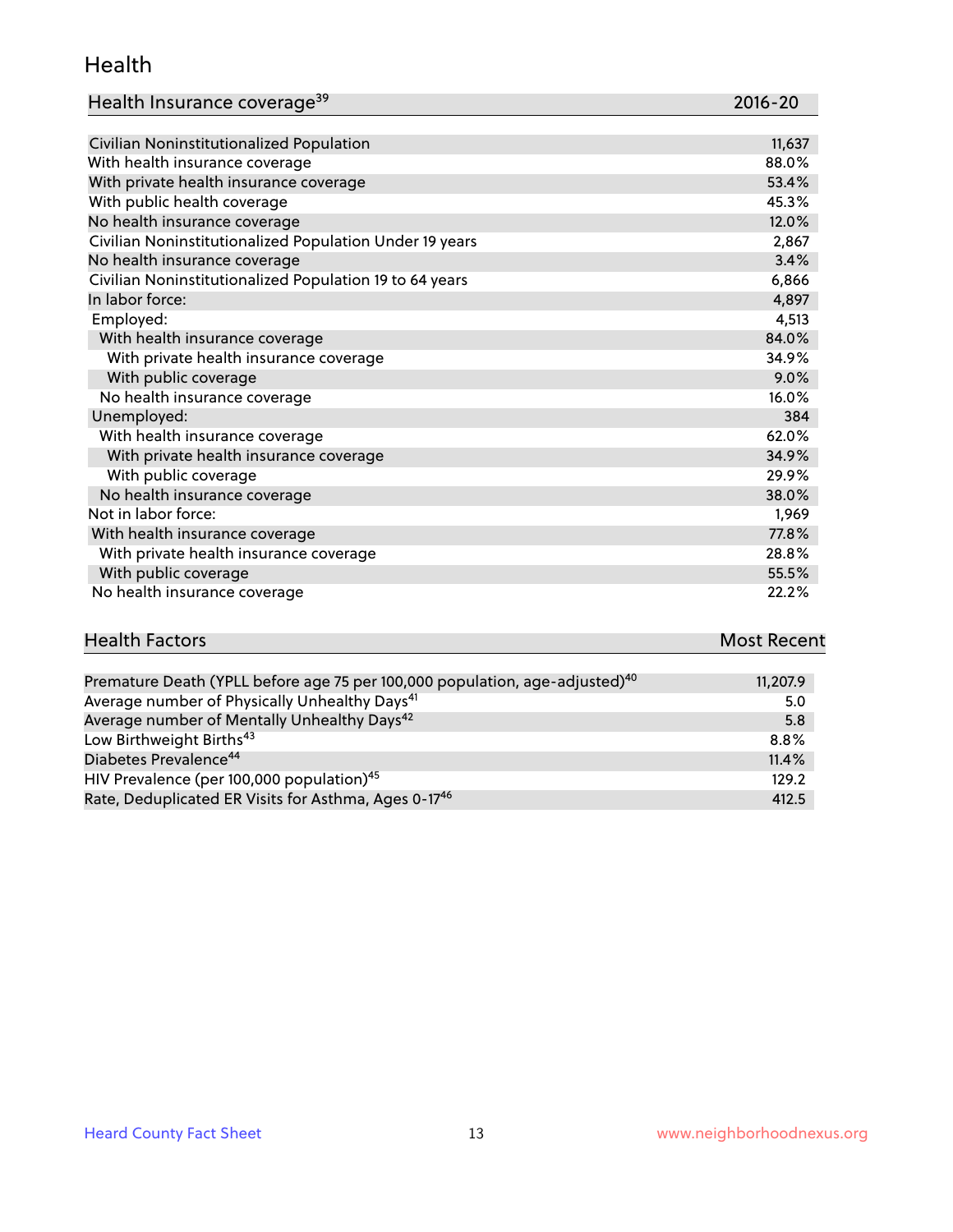#### Health

| Health Insurance coverage <sup>39</sup> | 2016-20 |
|-----------------------------------------|---------|
|-----------------------------------------|---------|

| Civilian Noninstitutionalized Population                | 11,637 |
|---------------------------------------------------------|--------|
| With health insurance coverage                          | 88.0%  |
| With private health insurance coverage                  | 53.4%  |
| With public health coverage                             | 45.3%  |
| No health insurance coverage                            | 12.0%  |
| Civilian Noninstitutionalized Population Under 19 years | 2,867  |
| No health insurance coverage                            | 3.4%   |
| Civilian Noninstitutionalized Population 19 to 64 years | 6,866  |
| In labor force:                                         | 4,897  |
| Employed:                                               | 4,513  |
| With health insurance coverage                          | 84.0%  |
| With private health insurance coverage                  | 34.9%  |
| With public coverage                                    | 9.0%   |
| No health insurance coverage                            | 16.0%  |
| Unemployed:                                             | 384    |
| With health insurance coverage                          | 62.0%  |
| With private health insurance coverage                  | 34.9%  |
| With public coverage                                    | 29.9%  |
| No health insurance coverage                            | 38.0%  |
| Not in labor force:                                     | 1,969  |
| With health insurance coverage                          | 77.8%  |
| With private health insurance coverage                  | 28.8%  |
| With public coverage                                    | 55.5%  |
| No health insurance coverage                            | 22.2%  |

# **Health Factors Most Recent** And The Control of the Control of The Control of The Control of The Control of The Control of The Control of The Control of The Control of The Control of The Control of The Control of The Contr

| Premature Death (YPLL before age 75 per 100,000 population, age-adjusted) <sup>40</sup> | 11,207.9 |
|-----------------------------------------------------------------------------------------|----------|
| Average number of Physically Unhealthy Days <sup>41</sup>                               | 5.0      |
| Average number of Mentally Unhealthy Days <sup>42</sup>                                 | 5.8      |
| Low Birthweight Births <sup>43</sup>                                                    | $8.8\%$  |
| Diabetes Prevalence <sup>44</sup>                                                       | 11.4%    |
| HIV Prevalence (per 100,000 population) <sup>45</sup>                                   | 129.2    |
| Rate, Deduplicated ER Visits for Asthma, Ages 0-17 <sup>46</sup>                        | 412.5    |